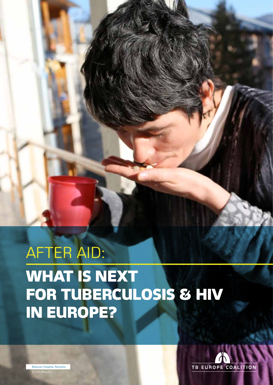# AFTER AID: WHAT IS NEXT FOR TUBERCULOSIS & HIV IN EUROPE?



Bisercani Hospital, Romania  $\hat{D}$  Tom  $M$ ag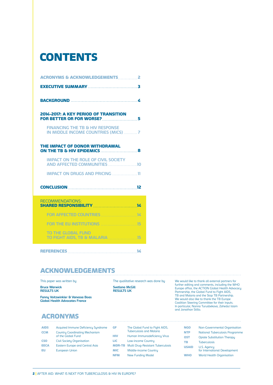### **CONTENTS**

| <b>ACRONYMS &amp; ACKNOWLEDGEMENTS 2</b>                                           |
|------------------------------------------------------------------------------------|
|                                                                                    |
|                                                                                    |
| 2014-2017: A KEY PERIOD OF TRANSITION                                              |
| <b>FINANCING THE TR &amp; HIV RESPONSE</b><br>IN MIDDLE INCOME COUNTRIES (MICS)  7 |
| THE IMPACT OF DONOR WITHDRAWAL                                                     |
| <b>IMPACT ON THE ROLE OF CIVIL SOCIETY</b><br>AND AFFECTED COMMUNITIES 10          |
| <b>IMPACT ON DRUGS AND PRICING  11</b>                                             |
|                                                                                    |
| RECOMMENDATIONS:                                                                   |
| FOR AFFECTED COUNTRIES                                                             |
|                                                                                    |
| TO THE GLOBAL FUND                                                                 |

#### Acknowledgements

This paper was written by

**Bruce Warwick RESULTS UK**

**Fanny Voitzwinkler & Vanessa Boas Global Health Advocates France**

The qualitative research was done by **Svetlana McGill RESULTS UK**

We would like to thank all external partners for further editing and comments, including the WHO Europe office, the ACTION Global Health Advocacy Partnership, the Global Fund to Fight AIDS, TB and Malaria and the Stop TB Partnership. We would also like to thank the TB Europe Coalition Steering Committee for their inputs. In particular, Nonna Turusbekova, Zahedul Islam and Jonathan Stillo.

#### **ACRONYMS**

| <b>AIDS</b> | Acquired Immune Deficiency Syndrome                         |
|-------------|-------------------------------------------------------------|
| <b>CCM</b>  | <b>Country Coordinating Mechanism</b><br>of the Global Fund |
| <b>CSO</b>  | <b>Civil Society Organisation</b>                           |
| <b>EECA</b> | <b>Eastern Europe and Central Asia</b>                      |
| EU          | <b>European Union</b>                                       |

GF The Global Fund to Fight AIDS, Tuberculosis and Malaria **HIV** Human Immunodeficiency Virus LIC Low-income Country MDR-TB Multi Drug-Resistant Tuberculosis **MIC** Middle-income Country **NFM** New Funding Model

| <b>NGO</b>   | Non-Governmental Organisation                |
|--------------|----------------------------------------------|
| <b>NTP</b>   | <b>National Tuberculosis Programme</b>       |
| <b>OST</b>   | <b>Opiate Substitution Therapy</b>           |
| TВ           | <b>Tuberculosis</b>                          |
| <b>USAID</b> | U.S. Agency<br>for International Development |
| <b>WHO</b>   | <b>World Health Organisation</b>             |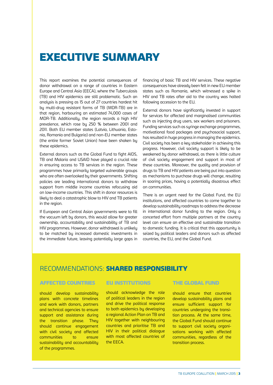### Executive Summary

This report examines the potential consequences of donor withdrawal on a range of countries in Eastern Europe and Central Asia (EECA), where the Tuberculosis (TB) and HIV epidemics are still problematic. Such an analysis is pressing as 15 out of 27 countries hardest hit by multi-drug resistant forms of TB (MDR-TB) are in that region, harbouring an estimated 74,000 cases of MDR-TB. Additionally, the region records a high HIV prevalence, which rose by 250 % between 2001 and 2011. Both EU member states (Latvia, Lithuania, Estonia, Romania and Bulgaria) and non-EU member states (the entire former Soviet Union) have been shaken by these epidemics.

External donors such as the Global Fund to fight AIDS, TB and Malaria and USAID have played a crucial role in ensuring access to TB services in the region. These programmes have primarily targeted vulnerable groups who are often overlooked by their governments. Shifting policies are leading international donors to withdraw support from middle income countries refocusing aid on low-income countries. This shift in donor resources is likely to deal a catastrophic blow to HIV and TB patients in the region.

If European and Central Asian governments were to fill the vacuum left bu donors, this would allow for greater ownership, accountability and sustainability of TB and HIV programmes. However, donor withdrawal is unlikely to be matched by increased domestic investments in the immediate future, leaving potentially large gaps in

financing of basic TB and HIV services. These negative consequences have already been felt in new EU member states such as Romania, which witnessed a spike in HIV and TB rates after aid to the country was halted following accession to the EU.

External donors have significantly invested in support for services for affected and marginalised communities such as injecting drug users, sex workers and prisoners. Funding services such as syringe exchange programmes, motivational food packages and psychosocial support, has resulted in huge progress in managing the epidemics. Civil society has been a key stakeholder in achieving this progress. However, civil society support is likely to be weakened by donor withdrawal, as there is little culture of civil society engagement and support in most of these countries. Moreover, the quality and provision of drugs to TB and HIV patients are being put into question as mechanisms to purchase drugs will change, resulting in soaring prices, having a potentially disastrous effect on communities.

There is an urgent need for the Global Fund, the EU institutions, and affected countries to come together to develop sustainability roadmaps to address the decrease in international donor funding to the region. Only a concerted effort from multiple partners at the country level can ensure an effective and sustainable transition to domestic funding. It is critical that this opportunity is seized by political leaders and donors such as affected countries, the EU, and the Global Fund.

#### RECOMMENDATIONS: SHARED RESPONSIBILITy

#### Affected Countries EU institutions The Global Fund

should develop sustainability plans with concrete timelines and work with donors, partners and technical agencies to ensure support and assistance during the transition phase. They should continue engagement with civil society and affected communities to ensure sustainability and accountability of the programmes.

should acknowledge the role of political leaders in the region and drive the political response to both epidemics by developing a regional Action Plan on TB and HIV together with neighbouring countries and prioritise TB and HIV in their political dialogue with most affected countries of the EECA.

should ensure that countries develop sustainability plans and ensure sufficient support for countries undergoing the transition process. At the same time, the Global Fund should continue to support civil society organisations working with affected communities, regardless of the transition process.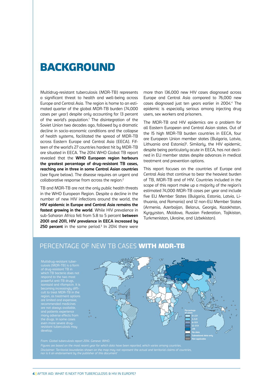### **BACKGROUND**

Multidrug-resistant tuberculosis (MDR-TB) represents a significant threat to health and well-being across Europe and Central Asia. The region is home to an estimated quarter of the global MDR-TB burden (74,000 cases per year) despite only accounting for 13 percent of the world's population.<sup>1</sup> The disintegration of the Soviet Union two decades ago, followed by a dramatic decline in socio-economic conditions and the collapse of health systems, facilitated the spread of MDR-TB across Eastern Europe and Central Asia (EECA). Fifteen of the world's 27 countries hardest hit by MDR-TB are situated in EECA. The 2014 WHO Global TB report revealed that the **WHO European region harbours the greatest percentage of drug-resistant TB cases, reaching one in three in some Central Asian countries** (see figure below). The disease requires an urgent and collaborative response from across the region.2

TB and MDR-TB are not the only public health threats in the WHO European Region. Despite a decline in the number of new HIV infections around the world, the **HIV epidemic in Europe and Central Asia remains the fastest growing in the world**. While HIV prevalence in sub-Saharan Africa fell from 5.8 to 5 percent **between 2001 and 2011, HIV prevalence in EECA increased by 250 percent** in the same period.3 In 2014 there were more than 136,000 new HIV cases diagnosed across Europe and Central Asia compared to 76,000 new cases diagnosed just ten years earlier in 2004.4 The epidemic is especially serious among injecting drug users, sex workers and prisoners.

The MDR-TB and HIV epidemics are a problem for all Eastern European and Central Asian states. Out of the 15 high MDR-TB burden countries in EECA, four are European Union member states (Bulgaria, Latvia, Lithuania and Estonia)<sup>5</sup>. Similarly, the HIV epidemic, despite being particularly acute in EECA, has not declined in EU member states despite advances in medical treatment and prevention options.

This report focuses on the countries of Europe and Central Asia that continue to bear the heaviest burden of TB, MDR-TB and of HIV. Countries included in the scope of this report make up a majority of the region's estimated 74,000 MDR-TB cases per year and include five EU Member States (Bulgaria, Estonia, Latvia, Lithuania, and Romania) and 12 non-EU Member States (Armenia, Azerbaijan, Belarus, Georgia, Kazakhstan, Kyrgyzstan, Moldova, Russian Federation, Tajikistan, Turkmenistan, Ukraine, and Uzbekistan).

### PERCENTAGE OF NEW TB CASES WITH MDR-TB

Multidrug-resistant tuberculosis (MDR-TB) is a form powerful anti-TB drugs, isoniazid and rifampicin. It is becoming increasingly difficult to treat MDR-TB in the even more severe drug-



From: Global tuberculosis report 2014. Geneva: WHO. Figures are based on the most recent year for which data have been reported, which varies among countries. Disclaimer: Territorial boundaries shown on the map may not represent the actual and territorial claims of countries,<br>nor is it an endorsement by the publisher of this document'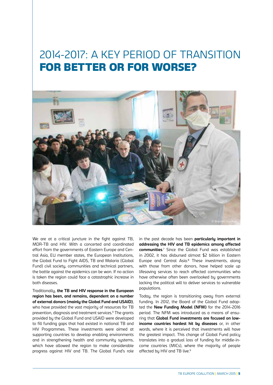## 2014-2017: A KEY PERIOD OF TRANSITION FOR BETTER OR FOR WORSE?



We are at a critical juncture in the fight against TB, MDR-TB and HIV. With a concerted and coordinated effort from the governments of Eastern Europe and Central Asia, EU member states, the European Institutions, the Global Fund to Fight AIDS, TB and Malaria (Global Fund) civil society, communities and technical partners, the battle against the epidemics can be won. If no action is taken the region could face a catastrophic increase in both diseases.

Traditionally, **the TB and HIV response in the European region has been, and remains, dependent on a number of external donors (mainly the Global Fund and USAID)**, who have provided the vast majority of resources for TB prevention, diagnosis and treatment services.6 The grants provided by the Global Fund and USAID were developed to fill funding gaps that had existed in national TB and HIV Programmes. These investments were aimed at supporting countries to develop enabling environments and in strengthening health and community systems, which have allowed the region to make considerable progress against HIV and TB. The Global Fund's role

in the past decade has been **particularly important in addressing the HIV and TB epidemics among affected communities**. 7 Since the Global Fund was established in 2002, it has disbursed almost \$2 billion in Eastern Europe and Central Asia.8 These investments, along with those from other donors, have helped scale up lifesaving services to reach affected communities who have otherwise often been overlooked by governments lacking the political will to deliver services to vulnerable populations.

Today, the region is transitioning away from external funding. In 2012, the Board of the Global Fund adopted the **New Funding Model (NFM)** for the 2014-2016 period. The NFM was introduced as a means of ensuring that **Global Fund investments are focused on lowincome countries hardest hit by diseases** or, in other words, where it is perceived that investments will have the greatest impact. This change of Global Fund policy translates into a gradual loss of funding for middle-income countries (MICs), where the majority of people affected by HIV and TB live.<sup>9</sup>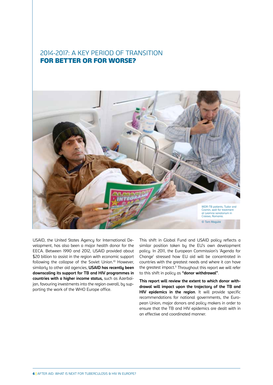#### 2014-2017: A KEY PERIOD OF TRANSITION FOR BETTER OR FOR WORSE?



USAID, the United States Agency for International Development, has also been a major health donor for the EECA. Between 1990 and 2012, USAID provided about \$20 billion to assist in the region with economic support following the collapse of the Soviet Union.<sup>10</sup> However, similarly to other aid agencies, **USAID has recently been downscaling its support for TB and HIV programmes in countries with a higher income status,** such as Azerbaijan, favouring investments into the region overall, by supporting the work of the WHO Europe office.

This shift in Global Fund and USAID policy reflects a similar position taken by the EU's own development policy. In 2011, the European Commission's 'Agenda for Change' stressed how EU aid will be concentrated in countries with the greatest needs and where it can have the greatest impact.<sup>11</sup> Throughout this report we will refer to this shift in policy as **"donor withdrawal"**.

**This report will review the extent to which donor withdrawal will impact upon the trajectory of the TB and HIV epidemics in the region**. It will provide specific recommendations for national governments, the European Union, major donors and policy makers in order to ensure that the TB and HIV epidemics are dealt with in an effective and coordinated manner.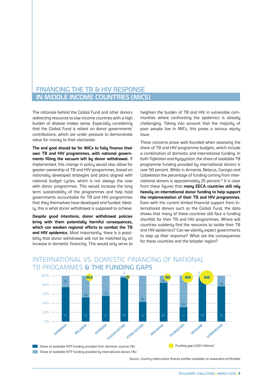#### **Financing the TB & HIV Response in Middle Income Countries (MICs)**

The rationale behind the Global Fund and other donors redirecting resources to low-income countries with a high burden of disease makes sense. Especially considering that the Global Fund is reliant on donor governments' contributions, which are under pressure to demonstrate value for money to their electorate.

**The end goal should be for MICs to fully finance their own TB and HIV programmes, with national governments filling the vacuum left by donor withdrawal.** If implemented, this change in policy would also allow for greater ownership of TB and HIV programmes, based on nationally developed strategies and plans aligned with national budget cycles, which is not always the case with donor programmes. This would increase the long term sustainability of the programmes and help hold governments accountable for TB and HIV programmes that they themselves have developed and funded. Ideally, this is what donor withdrawal is supposed to achieve.

**Despite good intentions, donor withdrawal policies bring with them potentially harmful consequences, which can weaken regional efforts to combat the TB and HIV epidemics.** Most importantly, there is a possibility that donor withdrawal will not be matched by an increase in domestic financing. This would only serve to heighten the burden of TB and HIV in vulnerable communities where confronting the epidemics is already challenging. Taking into account that the majority of poor people live in MICs, this poses a serious equity issue.

These concerns prove well-founded when assessing the share of TB and HIV programme budgets, which include a combination of domestic and international funding. In both Tajikistan and Kyrgyzstan, the share of available TB programme funding provided by international donors is over 50 percent. While in Armenia, Belarus, Georgia and Uzbekistan the percentage of funding coming from international donors is approximately 25 percent.12 It is clear from these figures that **many EECA countries still rely heavily on international donor funding to help support the implementation of their TB and HIV programmes.** Even with the current limited financial support from international donors such as the Global Fund, the data shows that many of these countries still face a funding shortfall for their TB and HIV programmes. Where will countries suddenly find the resources to tackle their TB and HIV epidemics? Can we silently expect governments to step up their response? What are the consequences for these countries and the broader region?



### International vs. Domestic Financing of National

Source: Country tuberculosis finance profiles available on www.who.int/tb/data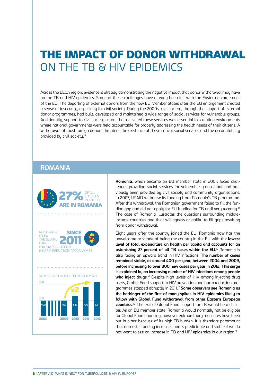## THE IMPACT OF DONOR WITHDRAWAL ON THE TB & HIV EPIDEMICS

Across the EECA region, evidence is already demonstrating the negative impact that donor withdrawal may have on the TB and HIV epidemics. Some of these challenges have already been felt with the Eastern enlargement of the EU. The departing of external donors from the new EU Member States after the EU enlargement created a sense of insecurity, especially for civil society. During the 2000s, civil society, through the support of external donor programmes, had built, developed and maintained a wide range of social services for vulnerable groups. Additionally, support to civil society actors that delivered these services was essential for creating environments where national governments were held accountable for properly addressing the health needs of their citizens. A withdrawal of most foreign donors threatens the existence of these critical social services and the accountability provided by civil society.<sup>13</sup>

#### **ROMANIA**



**Romania**, which became an EU member state in 2007, faced challenges providing social services for vulnerable groups that had previously been provided by civil society and community organisations. In 2007, USAID withdrew its funding from Romania's TB programme. After this withdrawal, the Romanian government failed to fill the funding gap and did not apply for EU funding for TB until very recently.<sup>14</sup> The case of Romania illustrates the questions surrounding middleincome countries and their willingness or ability to fill gaps resulting from donor withdrawal.

Eight years after the country joined the EU, Romania now has the unwelcome accolade of being the country in the EU with the **lowest level of total expenditure on health per capita and accounts for an astonishing 27 percent of all TB cases within the EU.** 15 Romania is also facing an upward trend in HIV infections. **The number of cases remained stable, at around 400 per year, between 2004 and 2009, before increasing to over 800 new cases per year in 2012. This surge is explained by an increasing number of HIV infections among people**  who inject drugs.<sup>16</sup> Despite high levels of HIV among injecting drug users, Global Fund support to HIV prevention and harm reduction programmes stopped abruptly in 2011.17 **Some observers see Romania as the harbinger of the first of many spikes in HIV epidemics likely to follow with Global Fund withdrawal from other Eastern European countries**. 18 The exit of Global Fund support for TB would be a disaster. As an EU member state, Romania would normally not be eligible for Global Fund financing, however extraordinary measures have been put in place because of its high TB burden. It is therefore paramount that domestic funding increases and is predictable and stable if we do not want to see an increase in TB and HIV epidemics in our region.<sup>19</sup>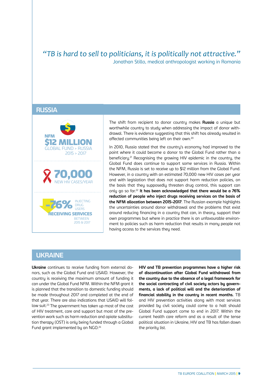#### *"TB is hard to sell to politicians, it is politically not attractive."*  Jonathan Stillo, medical anthropologist working in Romania

#### **RUSSIA**



The shift from recipient to donor country makes **Russia** a unique but worthwhile country to study when addressing the impact of donor withdrawal. There is evidence suggesting that this shift has already resulted in affected communities being left on their own.20

In 2010, Russia stated that the country's economy had improved to the point where it could become a donor to the Global Fund rather than a beneficiary.<sup>21</sup> Recognising the growing HIV epidemic in the country, the Global Fund does continue to support some services in Russia. Within the NFM, Russia is set to receive up to \$12 million from the Global Fund. However, in a country with an estimated 70,000 new HIV cases per year and with legislation that does not support harm reduction policies, on the basis that they supposedly threaten drug control, this support can only go so far.22 **It has been acknowledged that there would be a 76% reduction of people who inject drugs receiving services on the basis of the NFM allocation between 2015-2017**. The Russian example highlights the uncertainties around donor withdrawal and the problems that exist around reducing financing in a country that can, in theory, support their own programmes but where in practice there is an unfavourable environment to policies such as harm reduction that results in many people not having access to the services they need.

#### **ukraine**

**Ukraine** continues to receive funding from external donors, such as the Global Fund and USAID. However, the country is receiving the maximum amount of funding it can under the Global Fund NFM. Within the NFM grant it is planned that the transition to domestic funding should be made throughout 2017 and completed at the end of that year. There are also indications that USAID will follow suit.23 The government has taken up most of the cost of HIV treatment, care and support but most of the prevention work such as harm reduction and opiate substitution therapy (OST) is only being funded through a Global Fund grant implemented by an NGO.<sup>24</sup>

**HIV and TB prevention programmes have a higher risk of discontinuation after Global Fund withdrawal from the country due to the absence of a legal framework for the social contracting of civil society actors by governments, a lack of political will and the deterioration of financial stability in the country in recent months.** TB and HIV prevention activities along with most services provided by civil society could come to a halt should Global Fund support come to end in 2017. Within the current health care reform and as a result of the tense political situation in Ukraine, HIV and TB has fallen down the priority list.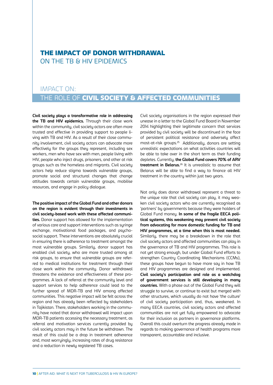#### THE IMPACT OF DONOR WITHDRAWAL ON THE TB & HIV EPIDEMICS

#### IMPACT ON:

### the role of civil society & affected communities

**Civil society plays a transformative role in addressing the TB and HIV epidemics.** Through their close work within the community, civil society actors are often more trusted and effective in providing support to people living with TB and HIV. As a result of their close community involvement, civil society actors can advocate more effectively for the groups they represent, including sex workers, men who have sex with men, people living with HIV, people who inject drugs, prisoners, and other at risk groups such as the homeless and migrants. Civil society actors help reduce stigma towards vulnerable groups, promote social and structural changes that change attitudes towards certain vulnerable groups, mobilise resources, and engage in policy dialogue.

**The positive impact of the Global Fund and other donors on the region is evident through their investments in civil society-based work with these affected communities.** Donor support has allowed for the implementation of various care and support interventions such as syringe exchange, motivational food packages, and psychosocial support. These interventions are absolutely crucial in ensuring there is adherence to treatment amongst the most vulnerable groups. Similarly, donor support has enabled civil society, who are more trusted among at risk groups, to ensure that vulnerable groups are referred to medical institutions for treatment through their close work within the community. Donor withdrawal threatens the existence and effectiveness of these programmes. A lack of referral at the community level and support services to help adherence could lead to the further spread of MDR-TB and HIV among affected communities. This negative impact will be felt across the region and has already been reflected by stakeholders in Tajikistan. There, stakeholders working in the community have noted that donor withdrawal will impact upon MDR-TB patients accessing the necessary treatment, as referral and motivation services currently provided by civil society actors may in the future be withdrawn. The result of this could be a drop in treatment adherence and, most worryingly, increasing rates of drug resistance and a reduction in newly registered TB cases.

Civil society organisations in the region expressed their unease in a letter to the Global Fund Board in November 2014 highlighting their legitimate concern that services provided by civil society will be discontinued in the face of persistent political resistance and adversely affect most-at-risk groups.25 Additionally, donors are setting unrealistic expectations on what activities countries will be able to take over in the short term as their funding depletes. Currently, **the Global Fund covers 70% of ARV treatment in Belarus.**26 It is unrealistic to assume that Belarus will be able to find a way to finance all HIV treatment in the country within just two years.

Not only does donor withdrawal represent a threat to the unique role that civil society can play, it may weaken civil society actors who are currently recognised as 'partners' by governments because they were holders of Global Fund money. **In some of the fragile EECA political systems, this weakening may prevent civil society from advocating for more domestic funding for TB and HIV programmes, at a time when this is most needed.**  Similarly, there may be a breakdown in the role that civil society actors and affected communities can play in the governance of TB and HIV programmes. This role is not yet strong enough, but under Global Fund efforts to strengthen Country Coordinating Mechanisms (CCMs), these groups have begun to have more say in how TB and HIV programmes are designed and implemented. **Civil society's participation and role as a watchdog of government services is still developing in many countries.** With a phase out of the Global Fund they will struggle to survive, or continue to exist but merged with other structures, which usually do not have 'the culture' of civil society participation and, thus, weakened. In many EECA countries, civil society actors and affected communities are not yet fully empowered to advocate for their inclusion as partners in governance platforms. Overall this could overturn the progress already made in regards to making governance of health programs more transparent, accountable and inclusive.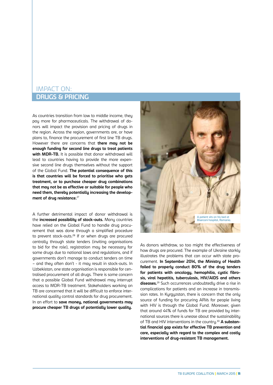#### **drugs & pricing**  IMPACT ON:

As countries transition from low to middle income, they pay more for pharmaceuticals. The withdrawal of donors will impact the provision and pricing of drugs in the region. Across the region, governments are, or have plans to, finance the procurement of first line TB drugs. However there are concerns that **there may not be enough funding for second line drugs to treat patients**  with MDR-TB. It is possible that donor withdrawal will lead to countries having to provide the more expensive second line drugs themselves without the support of the Global Fund. **The potential consequence of this is that countries will be forced to prioritise who gets treatment, or to purchase cheaper drug combinations that may not be as effective or suitable for people who need them, thereby potentially increasing the development of drug resistance.**<sup>27</sup>

A further detrimental impact of donor withdrawal is the **increased possibility of stock-outs.** Many countries have relied on the Global Fund to handle drug procurement that was done through a simplified procedure to prevent stock-outs.28 If or when drugs are procured centrally through state tenders (inviting organisations to bid for the role), registration may be necessary for some drugs due to national laws and regulations, and if governments don't manage to conduct tenders on time – and they often don't - it may result in stock-outs. In Uzbekistan, one state organisation is responsible for centralised procurement of all drugs. There is some concern that a possible Global Fund withdrawal may interrupt access to MDR-TB treatment. Stakeholders working on TB are concerned that it will be difficult to enforce international quality control standards for drug procurement. In an effort to **save money, national governments may procure cheaper TB drugs of potentially lower quality.** 



As donors withdraw, so too might the effectiveness of how drugs are procured. The example of Ukraine starkly illustrates the problems that can occur with state procurement. **In September 2014, the Ministry of Health failed to properly conduct 80% of the drug tenders for patients with oncology, hemophilia, cystic fibrosis, viral hepatitis, tuberculosis, HIV/AIDS and others diseases.**29 Such occurrences undoubtedly drive a rise in complications for patients and an increase in transmission rates. In Kyrgyzstan, there is concern that the only source of funding for procuring ARVs for people living with HIV is through the Global Fund. Moreover, given that around 44% of funds for TB are provided by international sources there is unease about the sustainability of TB and HIV interventions in the country.30 **A substantial financial gap exists for effective TB prevention and care, especially with regard to the complex and costly interventions of drug-resistant TB management.**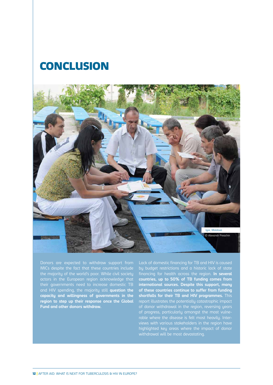### **CONCLUSION**



Donors are expected to withdraw support from MICs despite the fact that these countries include actors in the European region acknowledge that their governments need to increase domestic TB and HIV spending, the majority still **question the capacity and willingness of governments in the region to step up their response once the Global Fund and other donors withdraw.** 

Lack of domestic financing for TB and HIV is caused by budget restrictions and a historic lack of state financing for health across the region. **In several countries, up to 50% of TB funding comes from international sources. Despite this support, many of these countries continue to suffer from funding shortfalls for their TB and HIV programmes.** This of donor withdrawal in the region, reversing years of progress, particularly amongst the most vulneviews with various stakeholders in the region have highlighted key areas where the impact of donor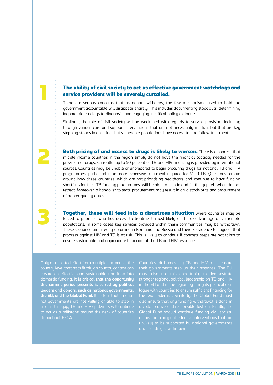#### The ability of civil society to act as effective government watchdogs and service providers will be severely curtailed.

There are serious concerns that as donors withdraw, the few mechanisms used to hold the government accountable will disappear entirely. This includes documenting stock outs, determining inappropriate delays to diagnosis, and engaging in critical policy dialogue.

Similarly, the role of civil society will be weakened with regards to service provision, including through various care and support interventions that are not necessarily medical but that are key stepping stones in ensuring that vulnerable populations have access to and follow treatment.

Both pricing of and access to drugs is likely to worsen. There is a concern that middle income countries in the region simply do not have the financial capacity needed for the provision of drugs. Currently, up to 50 percent of TB and HIV financing is provided by international sources. Countries may be unable or unprepared to begin procuring drugs for national TB and HIV programmes, particularly the more expensive treatment required for MDR-TB. Questions remain around how these countries, which are not prioritising healthcare and continue to have funding shortfalls for their TB funding programmes, will be able to step in and fill the gap left when donors retreat. Moreover, a handover to state procurement may result in drug stock-outs and procurement of poorer quality drugs.

**Together, these will feed into a disastrous situation** where countries may be forced to prioritise who has access to treatment, most likely at the disadvantage of vulnerable populations. In some cases key services provided within these communities may be withdrawn. These scenarios are already occurring in Romania and Russia and there is evidence to suggest that progress against HIV and TB is at risk. This is likely to continue if concrete steps are not taken to ensure sustainable and appropriate financing of the TB and HIV responses.

Only a concerted effort from multiple partners at the country level that rests firmly on country context can ensure an effective and sustainable transition into domestic funding. **It is critical that the opportunity this current period presents is seized by political leaders and donors, such as national governments, the EU, and the Global Fund.** It is clear that if natioand fill this gap, TB and HIV epidemics will continue throughout EECA.

2

3

Countries hit hardest by TB and HIV must ensure their governments step up their response. The EU must also use this opportunity to demonstrate stronger regional political leadership on TB and HIV in the EU and in the region by using its political diaa collaborative and responsible fashion. Finally, the Global Fund should continue funding civil society unlikely to be supported by national governments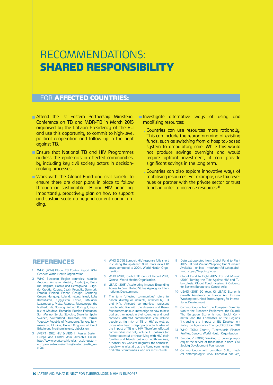## RECOMMENDATIONS: SHARED RESPONSIBILITY

#### FOR **AFFECTED COUNTRIES:**

- **E** Attend the 1st Eastern Partnership Ministerial Conference on TB and MDR-TB in March 2015 organised by the Latvian Presidency of the EU and use this opportunity to commit to high-level political cooperation and follow up in the fight against TB.
- **E** Ensure that National TB and HIV Programmes address the epidemics in affected communities, by including key civil society actors in decisionmaking processes.
- Work with the Global Fund and civil society to ensure there are clear plans in place to follow through on sustainable TB and HIV financing. Importantly, proactively plan on how to support and sustain scale-up beyond current donor funding.

Investigate alternative ways of using and mobilising resources:

- Countries can use resources more rationally. This can include the reprogramming of existing funds, such as switching from a hospital-based system to ambulatory care. While this would not produce savings overnight and would require upfront investment, it can provide significant savings in the long term.
- Countries can also explore innovative ways of mobilising resources. For example, use tax revenues or partner with the private sector or trust funds in order to increase resources.<sup>31</sup>

#### REFERENCES

- WHO (2014) Global TB Control Report 2014, Geneva: World Health Organization.
- 2 WHO European Region countries: Albania, Andorra, Armenia, Austria, Azerbaijan, Belarus, Belgium, Bosnia and Herzegovina, Bulgaria, Croatia, Cyprus, Czech Republic, Denmark, Estonia, Finland, France, Georgia, Germany, Greece, Hungary, Iceland, Ireland, Israel, Italy, Kazakhstan, Kyrgyzstan, Latvia, Lithuania, Luxembourg, Malta, Monaco, Montenegro, the Netherlands, Norway, Poland, Portugal, Republic of Moldova, Romania, Russian Federation, San Marino, Serbia, Slovakia, Slovenia, Spain, Sweden, Switzerland, Tajikistan, the former Yugoslav Republic of Macedonia, Turkey, Turkmenistan, Ukraine, United Kingdom of Great Britain and Northern Ireland, Uzbekistan.
- 3 AVERT (2015) HIV & AIDS in Russia, Eastern Europe and Central Asia. Available Online: http://www.avert.org/hiv-aids-russia-easterneurope-central-asia.htm#footnoteref6\_koz19ol
- 4 WHO (2015) Europe's HIV response falls short in curbing the epidemic: 80% more new HIV cases compared to 2004, World Health Organisation
- 5 WHO (2014) Global TB Control Report 2014, Geneva: World Health Organization.
- 6 USAID (2013) Accelerating Impact: Expanding Access to Care. United States Agency for International Development.
- 7 The term 'affected communities' refers to people directly or indirectly affected by TB and HIV. Affected communities represent people who live with the diseases and therefore possess unique knowledge on how to best address their needs in their countries and local contexts. Affected communities can include people at high risk of TB or HIV as well as those who bear a disproportionate burden of the impact of TB and HIV. Therefore, affected communities not only include TB patients (or former patients) or those living with HIV, their families and friends, but also health workers, prisoners, sex workers, migrants, the homeless, people who inject drugs, the Roma community and other communities who are most-at-risk.
- 8 Data extrapolated from Global Fund to Fight AIDS, TB and Malaria 'Mapping Our Numbers'. Available online: http://portfolio.theglobalfund.org/en/Mapping/Index
- 9 Global Fund to Fight AIDS, TB and Malaria (2014) Turning the Tide Against HIV and Tuberculosis: Global Fund Investment Guidance for Eastern Europe and Central Asia
- 10 USAID (2013) 20 Years Of USAID Economic Growth Assistance In Europe And Eurasia, Washington: United States Agency for International Development.
- **11** Communication from the European Commission to the European Parliament, the Council. The European Economic and Social Committee and the Committee of the Regions, 'Increasing the Impact of EU Development Policy: an Agenda for Change', 13 October 2011.
- 12 WHO (2014) Country Tuberculosis Finance Profiles, Geneva: World Health Organisation.
- 13 Burada, V. (2007) Working to develop capacity at the service of those most in need, Civil Society Development Foundation
- 14 Communication with Jonathan Stillo, medical anthropologist, USA: Romania has very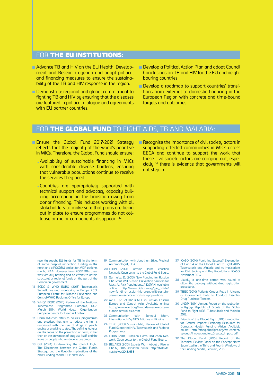#### FOR THE EU INSTITUTIONS:

- Advance TB and HIV on the EU Health, Development and Research agenda and adopt political and financing measures to ensure the sustainabilitu of the TB and HIV response in the region.
- Demonstrate regional and global commitment to fighting TB and HIV by ensuring that the diseases are featured in political dialogue and agreements with EU partner countries.

**Develop a Political Action Plan and adopt Council** Conclusions on TB and HIV for the EU and neighbouring countries.

Develop a roadmap to support countries' transitions from external to domestic financing in the European Region with concrete and time-bound targets and outcomes.

#### FOR THE GLOBAL FUND TO FIGHT AIDS, TB AND MALARIA:

- **Ensure the Global Fund 2017-2021 Strategy** reflects that the majority of the world's poor live in MICs. Therefore, the Global Fund should ensure:
	- Availability of sustainable financing in MICs with considerable disease burdens, ensuring that vulnerable populations continue to receive the services they need.
	- Countries are appropriately supported with technical support and advocacy capacity building accompanying the transition away from donor financing. This includes working with all stakeholders to make sure that plans are being put in place to ensure programmes do not collapse or major components disappear. 32

 **Recognise the importance of civil society actors in** supporting affected communities in MICs across EECA and continue to support the work that these civil societu actors are carruing out, especially if there is evidence that governments will not step in.

recently sought EU funds for TB in the form of some hospital renovation funding in the north and a POSDRU project for MDR patients run by RAA. However from 2007-2014 there was virtually nothing and no efforts to obtain structural or regional funds on the part of the Romanian government.

- 15 ECDC & WHO EURO (2013) Tuberculosis Surveillance and monitoring in Europe 2013, European Centre for Disease Prevention and Control/WHO Regional Office for Europe
- 16 WHO/ ECDC (2014) Review of the National Tuberculosis Programme Romania, 10-21 March 2014, World Health Organisation. European Centre for Disease Control.
- 17 Harm reduction refers to policies, programmes and practices that aim to reduce the harms associated with the use of drugs in people unable or unwilling to stop. The defining features are the focus on the prevention of harm, rather than on the prevention of drug use itself, and the focus on people who continue to use drugs.
- 18 OSI (2014) Undermining the Global Fight. The Disconnect between the Global Fund's Strategy and the Real-life Implications of the New Funding Model. OSI: New York.
- 19 Communication with Jonathan Stillo, Medical Anthropologist, USA.
- 20 EHRN (2014) Eurasian Harm Reduction Network, Open Letter to the Global Fund Board.
- 21 Garmaise, D. (2013) New Funding for Russian HIV Grant Will Sustain Prevention Services for Most-At-Risk Populations, AIDSPAN. Available online: http://www.aidspan.org/gfo\_article/ new-funding-russian-hiv-grant-will-sustainprevention-services-most-risk-populations
- 22 AVERT (2012) HIV & AIDS in Russian, Eastern Europe and Central Asia. Available online: http://www.avert.org/hiv-aids-russia-easterneurope-central-asia.htm
- 23 Communication with Zahedul Islam, International HIV/AIDS Alliance in Ukraine.
- 24 TERG (2013) Sustainability Review of Global Fund Supported HIV, Tuberculosis and Malaria Programmes.
- 25 EHRN (2014) Eurasian Harm Reduction Network, Open Letter to the Global Fund Board.
- 26 BELAIDS (2013) Experts Warn About a Rise in HIV by 2016, Available online: http://belaids. net/news/2013/658
- 27 ICASO (2014) Punishing Success? Explanation of Band 4 of the Global Fund to Fight AIDS, Tuberculosis and Malaria and its Implications for Civil Society and Key Populations. ICASO. November 2014
- 28 Usually a one-time permit was issued to allow the delivery, without drug registration procedures.
- 29 TBEC (2014) Patients Groups Rally in Ukraine as Government Fails to Conduct Essential Drug Purchase Tenders
- 30 UNDP (2014) Annual Report on the realisation in Kyrgyz Republic of Grants of the Global Fund to Fight AIDS, Tuberculosis and Malaria, 2013.
- 31 Friends of the Global Fight (2015) Innovation for Greater Impact: Exploring Resources for Domestic Health Funding Africa. Available online: http://theglobalfight.org/wp-content/ uploads/Innovation\_for\_Greater\_Impact.pdf
- 32 The Global Fund (2015) Report of the Technical Review Panel on the Concept Notes Submitted in the Third and Fourth Windows of the Funding Model, February 2015.